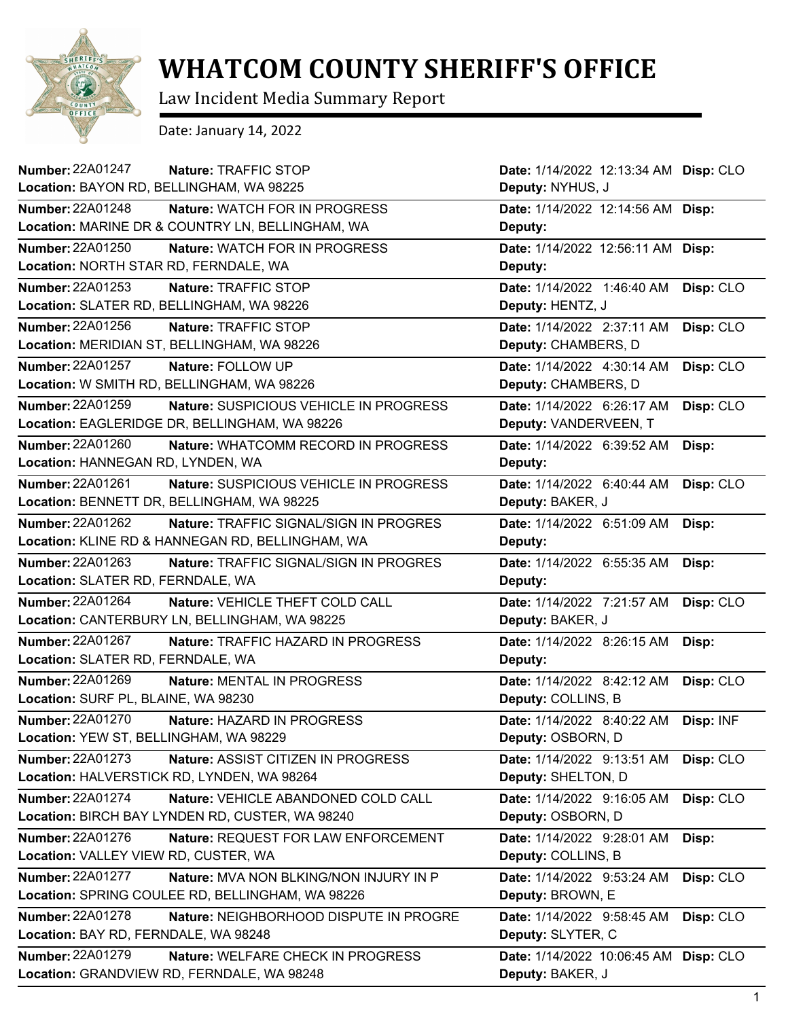

## **WHATCOM COUNTY SHERIFF'S OFFICE**

Law Incident Media Summary Report

Date: January 14, 2022

| Number: 22A01247<br>Nature: TRAFFIC STOP                   | Date: 1/14/2022 12:13:34 AM Disp: CLO |           |
|------------------------------------------------------------|---------------------------------------|-----------|
| Location: BAYON RD, BELLINGHAM, WA 98225                   | Deputy: NYHUS, J                      |           |
| Number: 22A01248<br><b>Nature: WATCH FOR IN PROGRESS</b>   | Date: 1/14/2022 12:14:56 AM Disp:     |           |
| Location: MARINE DR & COUNTRY LN, BELLINGHAM, WA           | Deputy:                               |           |
| <b>Number: 22A01250</b><br>Nature: WATCH FOR IN PROGRESS   | Date: 1/14/2022 12:56:11 AM Disp:     |           |
| Location: NORTH STAR RD, FERNDALE, WA                      | Deputy:                               |           |
| Number: 22A01253<br>Nature: TRAFFIC STOP                   | Date: 1/14/2022 1:46:40 AM            | Disp: CLO |
| Location: SLATER RD, BELLINGHAM, WA 98226                  | Deputy: HENTZ, J                      |           |
| Number: 22A01256<br>Nature: TRAFFIC STOP                   | Date: 1/14/2022 2:37:11 AM            | Disp: CLO |
| Location: MERIDIAN ST, BELLINGHAM, WA 98226                | Deputy: CHAMBERS, D                   |           |
| Number: 22A01257<br>Nature: FOLLOW UP                      | Date: 1/14/2022 4:30:14 AM            | Disp: CLO |
| Location: W SMITH RD, BELLINGHAM, WA 98226                 | Deputy: CHAMBERS, D                   |           |
| Number: 22A01259<br>Nature: SUSPICIOUS VEHICLE IN PROGRESS | Date: 1/14/2022 6:26:17 AM            | Disp: CLO |
| Location: EAGLERIDGE DR, BELLINGHAM, WA 98226              | Deputy: VANDERVEEN, T                 |           |
| Number: 22A01260<br>Nature: WHATCOMM RECORD IN PROGRESS    | Date: 1/14/2022 6:39:52 AM            | Disp:     |
| Location: HANNEGAN RD, LYNDEN, WA                          | Deputy:                               |           |
| Number: 22A01261<br>Nature: SUSPICIOUS VEHICLE IN PROGRESS | Date: 1/14/2022 6:40:44 AM            | Disp: CLO |
| Location: BENNETT DR, BELLINGHAM, WA 98225                 | Deputy: BAKER, J                      |           |
| Number: 22A01262<br>Nature: TRAFFIC SIGNAL/SIGN IN PROGRES | Date: 1/14/2022 6:51:09 AM            | Disp:     |
| Location: KLINE RD & HANNEGAN RD, BELLINGHAM, WA           | Deputy:                               |           |
| Number: 22A01263<br>Nature: TRAFFIC SIGNAL/SIGN IN PROGRES | Date: 1/14/2022 6:55:35 AM            | Disp:     |
| Location: SLATER RD, FERNDALE, WA                          | Deputy:                               |           |
| Number: 22A01264<br>Nature: VEHICLE THEFT COLD CALL        | Date: 1/14/2022 7:21:57 AM            | Disp: CLO |
| Location: CANTERBURY LN, BELLINGHAM, WA 98225              | Deputy: BAKER, J                      |           |
| Number: 22A01267<br>Nature: TRAFFIC HAZARD IN PROGRESS     | Date: 1/14/2022 8:26:15 AM            | Disp:     |
| Location: SLATER RD, FERNDALE, WA                          | Deputy:                               |           |
| Number: 22A01269<br>Nature: MENTAL IN PROGRESS             | Date: 1/14/2022 8:42:12 AM            | Disp: CLO |
| Location: SURF PL, BLAINE, WA 98230                        | Deputy: COLLINS, B                    |           |
| Number: 22A01270<br>Nature: HAZARD IN PROGRESS             | Date: 1/14/2022 8:40:22 AM            | Disp: INF |
| Location: YEW ST, BELLINGHAM, WA 98229                     | Deputy: OSBORN, D                     |           |
| Number: 22A01273<br>Nature: ASSIST CITIZEN IN PROGRESS     | Date: 1/14/2022 9:13:51 AM            | Disp: CLO |
| Location: HALVERSTICK RD, LYNDEN, WA 98264                 | Deputy: SHELTON, D                    |           |
| Number: 22A01274<br>Nature: VEHICLE ABANDONED COLD CALL    | Date: 1/14/2022 9:16:05 AM            | Disp: CLO |
| Location: BIRCH BAY LYNDEN RD, CUSTER, WA 98240            | Deputy: OSBORN, D                     |           |
| Number: 22A01276<br>Nature: REQUEST FOR LAW ENFORCEMENT    | Date: 1/14/2022 9:28:01 AM            | Disp:     |
| Location: VALLEY VIEW RD, CUSTER, WA                       | Deputy: COLLINS, B                    |           |
| Number: 22A01277<br>Nature: MVA NON BLKING/NON INJURY IN P | Date: 1/14/2022 9:53:24 AM            | Disp: CLO |
| Location: SPRING COULEE RD, BELLINGHAM, WA 98226           | Deputy: BROWN, E                      |           |
| Number: 22A01278<br>Nature: NEIGHBORHOOD DISPUTE IN PROGRE | Date: 1/14/2022 9:58:45 AM            | Disp: CLO |
| Location: BAY RD, FERNDALE, WA 98248                       | Deputy: SLYTER, C                     |           |
| Number: 22A01279<br>Nature: WELFARE CHECK IN PROGRESS      | Date: 1/14/2022 10:06:45 AM Disp: CLO |           |
| Location: GRANDVIEW RD, FERNDALE, WA 98248                 | Deputy: BAKER, J                      |           |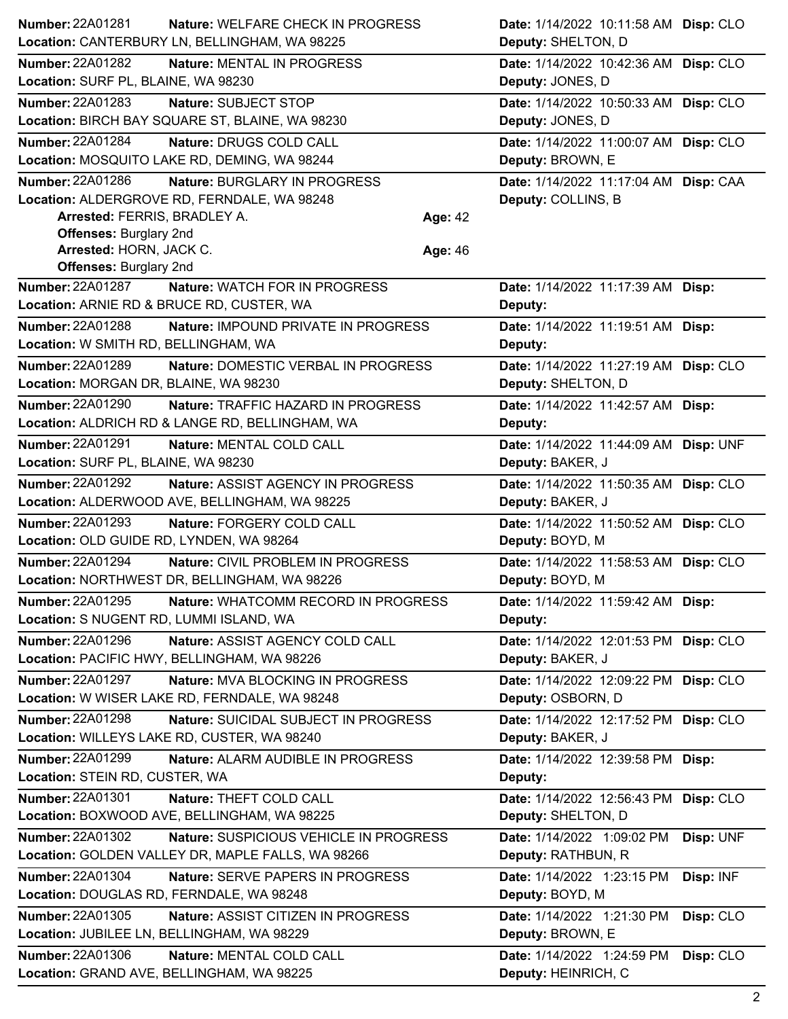| Number: 22A01281                                         | Nature: WELFARE CHECK IN PROGRESS                                                     |         | Date: 1/14/2022 10:11:58 AM Disp: CLO                       |           |
|----------------------------------------------------------|---------------------------------------------------------------------------------------|---------|-------------------------------------------------------------|-----------|
|                                                          | Location: CANTERBURY LN, BELLINGHAM, WA 98225                                         |         | Deputy: SHELTON, D                                          |           |
| Number: 22A01282                                         | Nature: MENTAL IN PROGRESS                                                            |         | Date: 1/14/2022 10:42:36 AM Disp: CLO                       |           |
| Location: SURF PL, BLAINE, WA 98230                      |                                                                                       |         | Deputy: JONES, D                                            |           |
| Number: 22A01283                                         | Nature: SUBJECT STOP                                                                  |         | Date: 1/14/2022 10:50:33 AM Disp: CLO                       |           |
|                                                          | Location: BIRCH BAY SQUARE ST, BLAINE, WA 98230                                       |         | Deputy: JONES, D                                            |           |
| <b>Number: 22A01284</b>                                  | Nature: DRUGS COLD CALL                                                               |         | Date: 1/14/2022 11:00:07 AM Disp: CLO                       |           |
|                                                          | Location: MOSQUITO LAKE RD, DEMING, WA 98244                                          |         | Deputy: BROWN, E                                            |           |
| Number: 22A01286                                         | Nature: BURGLARY IN PROGRESS                                                          |         | Date: 1/14/2022 11:17:04 AM Disp: CAA                       |           |
|                                                          | Location: ALDERGROVE RD, FERNDALE, WA 98248                                           |         | Deputy: COLLINS, B                                          |           |
| Arrested: FERRIS, BRADLEY A.                             |                                                                                       | Age: 42 |                                                             |           |
| <b>Offenses: Burglary 2nd</b>                            |                                                                                       |         |                                                             |           |
| Arrested: HORN, JACK C.<br><b>Offenses: Burglary 2nd</b> |                                                                                       | Age: 46 |                                                             |           |
| <b>Number: 22A01287</b>                                  | Nature: WATCH FOR IN PROGRESS                                                         |         | Date: 1/14/2022 11:17:39 AM Disp:                           |           |
|                                                          | Location: ARNIE RD & BRUCE RD, CUSTER, WA                                             |         | Deputy:                                                     |           |
| <b>Number: 22A01288</b>                                  | Nature: IMPOUND PRIVATE IN PROGRESS                                                   |         | Date: 1/14/2022 11:19:51 AM Disp:                           |           |
| Location: W SMITH RD, BELLINGHAM, WA                     |                                                                                       |         | Deputy:                                                     |           |
| <b>Number: 22A01289</b>                                  | Nature: DOMESTIC VERBAL IN PROGRESS                                                   |         |                                                             |           |
| Location: MORGAN DR, BLAINE, WA 98230                    |                                                                                       |         | Date: 1/14/2022 11:27:19 AM Disp: CLO<br>Deputy: SHELTON, D |           |
| <b>Number: 22A01290</b>                                  |                                                                                       |         |                                                             |           |
|                                                          | Nature: TRAFFIC HAZARD IN PROGRESS<br>Location: ALDRICH RD & LANGE RD, BELLINGHAM, WA |         | Date: 1/14/2022 11:42:57 AM Disp:<br>Deputy:                |           |
|                                                          |                                                                                       |         |                                                             |           |
| Number: 22A01291<br>Location: SURF PL, BLAINE, WA 98230  | Nature: MENTAL COLD CALL                                                              |         | Date: 1/14/2022 11:44:09 AM Disp: UNF<br>Deputy: BAKER, J   |           |
| <b>Number: 22A01292</b>                                  |                                                                                       |         |                                                             |           |
|                                                          | Nature: ASSIST AGENCY IN PROGRESS<br>Location: ALDERWOOD AVE, BELLINGHAM, WA 98225    |         | Date: 1/14/2022 11:50:35 AM Disp: CLO<br>Deputy: BAKER, J   |           |
| Number: 22A01293                                         |                                                                                       |         |                                                             |           |
| Location: OLD GUIDE RD, LYNDEN, WA 98264                 | Nature: FORGERY COLD CALL                                                             |         | Date: 1/14/2022 11:50:52 AM Disp: CLO<br>Deputy: BOYD, M    |           |
| Number: 22A01294                                         |                                                                                       |         |                                                             |           |
|                                                          | Nature: CIVIL PROBLEM IN PROGRESS<br>Location: NORTHWEST DR, BELLINGHAM, WA 98226     |         | Date: 1/14/2022 11:58:53 AM Disp: CLO<br>Deputy: BOYD, M    |           |
| Number: 22A01295                                         | Nature: WHATCOMM RECORD IN PROGRESS                                                   |         |                                                             |           |
| Location: S NUGENT RD, LUMMI ISLAND, WA                  |                                                                                       |         | Date: 1/14/2022 11:59:42 AM Disp:<br>Deputy:                |           |
| Number: 22A01296                                         | Nature: ASSIST AGENCY COLD CALL                                                       |         |                                                             |           |
|                                                          | Location: PACIFIC HWY, BELLINGHAM, WA 98226                                           |         | Date: 1/14/2022 12:01:53 PM Disp: CLO<br>Deputy: BAKER, J   |           |
| Number: 22A01297                                         | Nature: MVA BLOCKING IN PROGRESS                                                      |         | Date: 1/14/2022 12:09:22 PM Disp: CLO                       |           |
|                                                          | Location: W WISER LAKE RD, FERNDALE, WA 98248                                         |         | Deputy: OSBORN, D                                           |           |
| <b>Number: 22A01298</b>                                  | Nature: SUICIDAL SUBJECT IN PROGRESS                                                  |         | Date: 1/14/2022 12:17:52 PM Disp: CLO                       |           |
|                                                          | Location: WILLEYS LAKE RD, CUSTER, WA 98240                                           |         | Deputy: BAKER, J                                            |           |
| <b>Number: 22A01299</b>                                  | Nature: ALARM AUDIBLE IN PROGRESS                                                     |         | Date: 1/14/2022 12:39:58 PM Disp:                           |           |
| Location: STEIN RD, CUSTER, WA                           |                                                                                       |         | Deputy:                                                     |           |
| Number: 22A01301                                         | Nature: THEFT COLD CALL                                                               |         | Date: 1/14/2022 12:56:43 PM Disp: CLO                       |           |
|                                                          | Location: BOXWOOD AVE, BELLINGHAM, WA 98225                                           |         | Deputy: SHELTON, D                                          |           |
| Number: 22A01302                                         | Nature: SUSPICIOUS VEHICLE IN PROGRESS                                                |         |                                                             |           |
|                                                          | Location: GOLDEN VALLEY DR, MAPLE FALLS, WA 98266                                     |         | Date: 1/14/2022 1:09:02 PM<br>Deputy: RATHBUN, R            | Disp: UNF |
| <b>Number: 22A01304</b>                                  |                                                                                       |         |                                                             |           |
| Location: DOUGLAS RD, FERNDALE, WA 98248                 | Nature: SERVE PAPERS IN PROGRESS                                                      |         | Date: 1/14/2022 1:23:15 PM<br>Deputy: BOYD, M               | Disp: INF |
| Number: 22A01305                                         | Nature: ASSIST CITIZEN IN PROGRESS                                                    |         | Date: 1/14/2022 1:21:30 PM                                  |           |
| Location: JUBILEE LN, BELLINGHAM, WA 98229               |                                                                                       |         | Deputy: BROWN, E                                            | Disp: CLO |
| Number: 22A01306                                         |                                                                                       |         |                                                             |           |
|                                                          | Nature: MENTAL COLD CALL<br>Location: GRAND AVE, BELLINGHAM, WA 98225                 |         | Date: 1/14/2022 1:24:59 PM<br>Deputy: HEINRICH, C           | Disp: CLO |
|                                                          |                                                                                       |         |                                                             |           |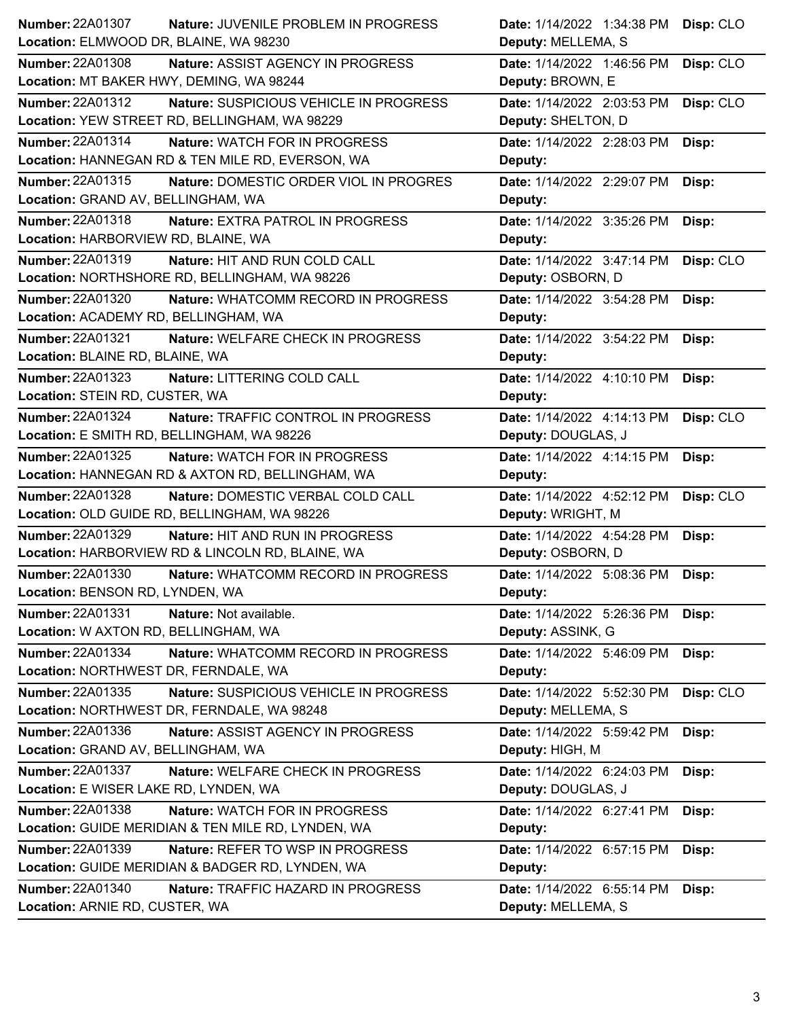| <b>Number: 22A01307</b>                    | Nature: JUVENILE PROBLEM IN PROGRESS               | Date: 1/14/2022 1:34:38 PM | Disp: CLO |
|--------------------------------------------|----------------------------------------------------|----------------------------|-----------|
| Location: ELMWOOD DR, BLAINE, WA 98230     |                                                    | Deputy: MELLEMA, S         |           |
| <b>Number: 22A01308</b>                    | <b>Nature: ASSIST AGENCY IN PROGRESS</b>           | Date: 1/14/2022 1:46:56 PM | Disp: CLO |
| Location: MT BAKER HWY, DEMING, WA 98244   |                                                    | Deputy: BROWN, E           |           |
| Number: 22A01312                           | Nature: SUSPICIOUS VEHICLE IN PROGRESS             | Date: 1/14/2022 2:03:53 PM | Disp: CLO |
|                                            | Location: YEW STREET RD, BELLINGHAM, WA 98229      | Deputy: SHELTON, D         |           |
| Number: 22A01314                           | <b>Nature: WATCH FOR IN PROGRESS</b>               | Date: 1/14/2022 2:28:03 PM | Disp:     |
|                                            | Location: HANNEGAN RD & TEN MILE RD, EVERSON, WA   | Deputy:                    |           |
| Number: 22A01315                           | Nature: DOMESTIC ORDER VIOL IN PROGRES             | Date: 1/14/2022 2:29:07 PM | Disp:     |
| Location: GRAND AV, BELLINGHAM, WA         |                                                    | Deputy:                    |           |
| Number: 22A01318                           | Nature: EXTRA PATROL IN PROGRESS                   | Date: 1/14/2022 3:35:26 PM | Disp:     |
| Location: HARBORVIEW RD, BLAINE, WA        |                                                    | Deputy:                    |           |
| Number: 22A01319                           | Nature: HIT AND RUN COLD CALL                      | Date: 1/14/2022 3:47:14 PM | Disp: CLO |
|                                            | Location: NORTHSHORE RD, BELLINGHAM, WA 98226      | Deputy: OSBORN, D          |           |
| Number: 22A01320                           | Nature: WHATCOMM RECORD IN PROGRESS                | Date: 1/14/2022 3:54:28 PM | Disp:     |
| Location: ACADEMY RD, BELLINGHAM, WA       |                                                    | Deputy:                    |           |
| <b>Number: 22A01321</b>                    | Nature: WELFARE CHECK IN PROGRESS                  | Date: 1/14/2022 3:54:22 PM | Disp:     |
| Location: BLAINE RD, BLAINE, WA            |                                                    | Deputy:                    |           |
| Number: 22A01323                           | Nature: LITTERING COLD CALL                        | Date: 1/14/2022 4:10:10 PM | Disp:     |
| Location: STEIN RD, CUSTER, WA             |                                                    | Deputy:                    |           |
| Number: 22A01324                           | <b>Nature: TRAFFIC CONTROL IN PROGRESS</b>         | Date: 1/14/2022 4:14:13 PM | Disp: CLO |
| Location: E SMITH RD, BELLINGHAM, WA 98226 |                                                    | Deputy: DOUGLAS, J         |           |
| Number: 22A01325                           | <b>Nature: WATCH FOR IN PROGRESS</b>               | Date: 1/14/2022 4:14:15 PM | Disp:     |
|                                            | Location: HANNEGAN RD & AXTON RD, BELLINGHAM, WA   | Deputy:                    |           |
| <b>Number: 22A01328</b>                    | Nature: DOMESTIC VERBAL COLD CALL                  | Date: 1/14/2022 4:52:12 PM | Disp: CLO |
|                                            | Location: OLD GUIDE RD, BELLINGHAM, WA 98226       | Deputy: WRIGHT, M          |           |
| Number: 22A01329                           | <b>Nature: HIT AND RUN IN PROGRESS</b>             | Date: 1/14/2022 4:54:28 PM | Disp:     |
|                                            | Location: HARBORVIEW RD & LINCOLN RD, BLAINE, WA   | Deputy: OSBORN, D          |           |
| Number: 22A01330                           | Nature: WHATCOMM RECORD IN PROGRESS                | Date: 1/14/2022 5:08:36 PM | Disp:     |
| Location: BENSON RD, LYNDEN, WA            |                                                    | Deputy:                    |           |
| <b>Number: 22A01331</b>                    | Nature: Not available.                             | Date: 1/14/2022 5:26:36 PM | Disp:     |
| Location: W AXTON RD, BELLINGHAM, WA       |                                                    | Deputy: ASSINK, G          |           |
| Number: 22A01334                           | Nature: WHATCOMM RECORD IN PROGRESS                | Date: 1/14/2022 5:46:09 PM | Disp:     |
| Location: NORTHWEST DR, FERNDALE, WA       |                                                    | Deputy:                    |           |
| Number: 22A01335                           | Nature: SUSPICIOUS VEHICLE IN PROGRESS             | Date: 1/14/2022 5:52:30 PM | Disp: CLO |
|                                            | Location: NORTHWEST DR, FERNDALE, WA 98248         | Deputy: MELLEMA, S         |           |
| Number: 22A01336                           | Nature: ASSIST AGENCY IN PROGRESS                  | Date: 1/14/2022 5:59:42 PM | Disp:     |
| Location: GRAND AV, BELLINGHAM, WA         |                                                    | Deputy: HIGH, M            |           |
| Number: 22A01337                           | Nature: WELFARE CHECK IN PROGRESS                  | Date: 1/14/2022 6:24:03 PM | Disp:     |
| Location: E WISER LAKE RD, LYNDEN, WA      |                                                    | Deputy: DOUGLAS, J         |           |
| Number: 22A01338                           | Nature: WATCH FOR IN PROGRESS                      | Date: 1/14/2022 6:27:41 PM | Disp:     |
|                                            | Location: GUIDE MERIDIAN & TEN MILE RD, LYNDEN, WA | Deputy:                    |           |
| Number: 22A01339                           | Nature: REFER TO WSP IN PROGRESS                   | Date: 1/14/2022 6:57:15 PM | Disp:     |
|                                            | Location: GUIDE MERIDIAN & BADGER RD, LYNDEN, WA   | Deputy:                    |           |
| Number: 22A01340                           | Nature: TRAFFIC HAZARD IN PROGRESS                 | Date: 1/14/2022 6:55:14 PM | Disp:     |
| Location: ARNIE RD, CUSTER, WA             |                                                    | Deputy: MELLEMA, S         |           |